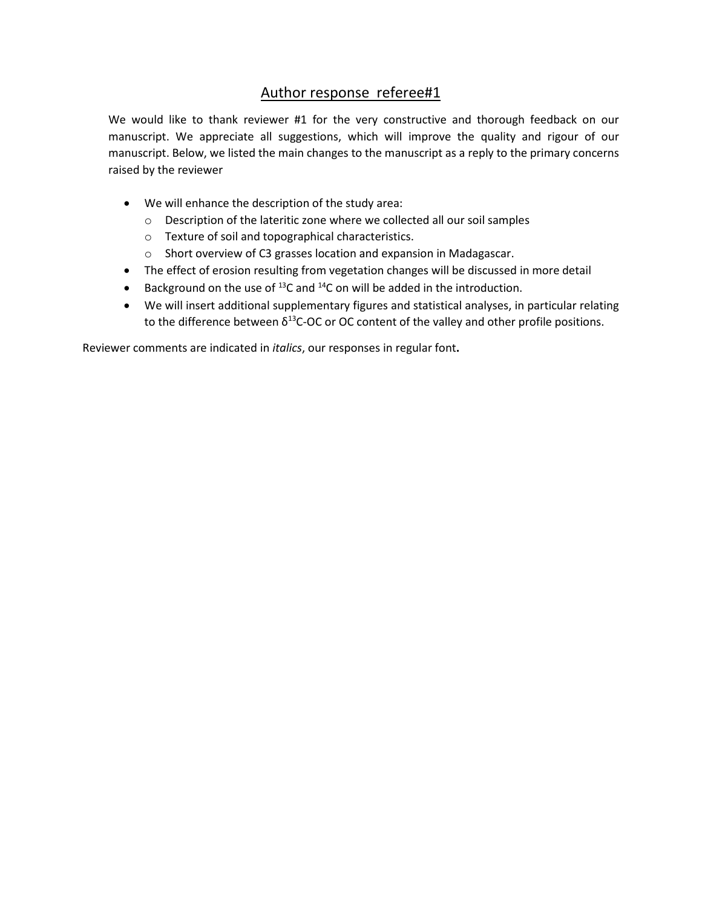## Author response referee#1

We would like to thank reviewer #1 for the very constructive and thorough feedback on our manuscript. We appreciate all suggestions, which will improve the quality and rigour of our manuscript. Below, we listed the main changes to the manuscript as a reply to the primary concerns raised by the reviewer

- We will enhance the description of the study area:
	- o Description of the lateritic zone where we collected all our soil samples
	- o Texture of soil and topographical characteristics.
	- o Short overview of C3 grasses location and expansion in Madagascar.
- The effect of erosion resulting from vegetation changes will be discussed in more detail
- Background on the use of  $^{13}$ C and  $^{14}$ C on will be added in the introduction.
- We will insert additional supplementary figures and statistical analyses, in particular relating to the difference between  $\delta^{13}$ C-OC or OC content of the valley and other profile positions.

Reviewer comments are indicated in *italics*, our responses in regular font**.**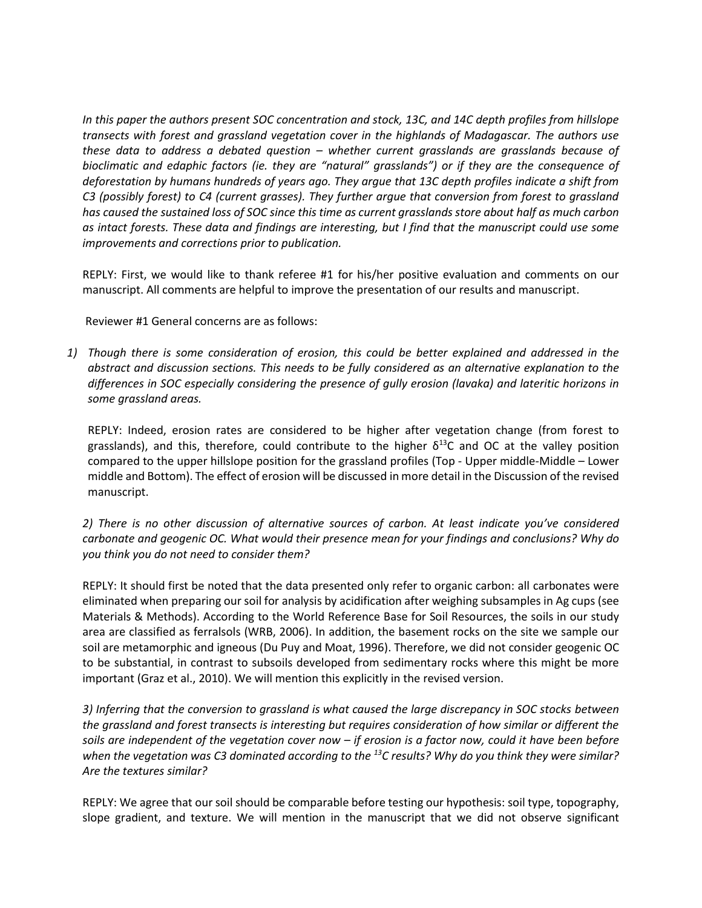*In this paper the authors present SOC concentration and stock, 13C, and 14C depth profiles from hillslope transects with forest and grassland vegetation cover in the highlands of Madagascar. The authors use these data to address a debated question – whether current grasslands are grasslands because of bioclimatic and edaphic factors (ie. they are "natural" grasslands") or if they are the consequence of deforestation by humans hundreds of years ago. They argue that 13C depth profiles indicate a shift from C3 (possibly forest) to C4 (current grasses). They further argue that conversion from forest to grassland has caused the sustained loss of SOC since this time as current grasslands store about half as much carbon as intact forests. These data and findings are interesting, but I find that the manuscript could use some improvements and corrections prior to publication.*

REPLY: First, we would like to thank referee #1 for his/her positive evaluation and comments on our manuscript. All comments are helpful to improve the presentation of our results and manuscript.

Reviewer #1 General concerns are as follows:

*1) Though there is some consideration of erosion, this could be better explained and addressed in the abstract and discussion sections. This needs to be fully considered as an alternative explanation to the differences in SOC especially considering the presence of gully erosion (lavaka) and lateritic horizons in some grassland areas.*

REPLY: Indeed, erosion rates are considered to be higher after vegetation change (from forest to grasslands), and this, therefore, could contribute to the higher  $\delta^{13}C$  and OC at the valley position compared to the upper hillslope position for the grassland profiles (Top - Upper middle-Middle – Lower middle and Bottom). The effect of erosion will be discussed in more detail in the Discussion of the revised manuscript.

*2) There is no other discussion of alternative sources of carbon. At least indicate you've considered carbonate and geogenic OC. What would their presence mean for your findings and conclusions? Why do you think you do not need to consider them?*

REPLY: It should first be noted that the data presented only refer to organic carbon: all carbonates were eliminated when preparing our soil for analysis by acidification after weighing subsamples in Ag cups (see Materials & Methods). According to the World Reference Base for Soil Resources, the soils in our study area are classified as ferralsols (WRB, 2006). In addition, the basement rocks on the site we sample our soil are metamorphic and igneous (Du Puy and Moat, 1996). Therefore, we did not consider geogenic OC to be substantial, in contrast to subsoils developed from sedimentary rocks where this might be more important (Graz et al., 2010). We will mention this explicitly in the revised version.

*3) Inferring that the conversion to grassland is what caused the large discrepancy in SOC stocks between the grassland and forest transects is interesting but requires consideration of how similar or different the soils are independent of the vegetation cover now – if erosion is a factor now, could it have been before when the vegetation was C3 dominated according to the <sup>13</sup>C results? Why do you think they were similar? Are the textures similar?*

REPLY: We agree that our soil should be comparable before testing our hypothesis: soil type, topography, slope gradient, and texture. We will mention in the manuscript that we did not observe significant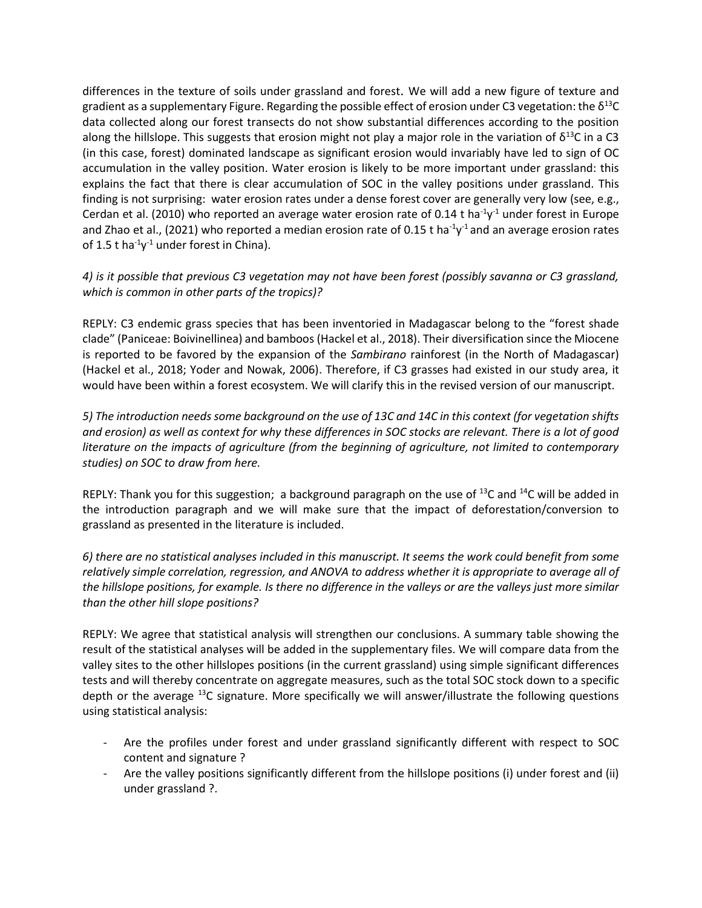differences in the texture of soils under grassland and forest. We will add a new figure of texture and gradient as a supplementary Figure. Regarding the possible effect of erosion under C3 vegetation: the  $\delta^{13}$ C data collected along our forest transects do not show substantial differences according to the position along the hillslope. This suggests that erosion might not play a major role in the variation of  $\delta^{13}C$  in a C3 (in this case, forest) dominated landscape as significant erosion would invariably have led to sign of OC accumulation in the valley position. Water erosion is likely to be more important under grassland: this explains the fact that there is clear accumulation of SOC in the valley positions under grassland. This finding is not surprising: water erosion rates under a dense forest cover are generally very low (see, e.g., Cerdan et al. (2010) who reported an average water erosion rate of 0.14 t ha<sup>-1</sup>y<sup>-1</sup> under forest in Europe and Zhao et al., (2021) who reported a median erosion rate of 0.15 t ha<sup>-1</sup>y<sup>-1</sup> and an average erosion rates of 1.5 t ha<sup>-1</sup>y<sup>-1</sup> under forest in China).

## *4) is it possible that previous C3 vegetation may not have been forest (possibly savanna or C3 grassland, which is common in other parts of the tropics)?*

REPLY: C3 endemic grass species that has been inventoried in Madagascar belong to the "forest shade clade" (Paniceae: Boivinellinea) and bamboos (Hackel et al., 2018). Their diversification since the Miocene is reported to be favored by the expansion of the *Sambirano* rainforest (in the North of Madagascar) (Hackel et al., 2018; Yoder and Nowak, 2006). Therefore, if C3 grasses had existed in our study area, it would have been within a forest ecosystem. We will clarify this in the revised version of our manuscript.

*5) The introduction needs some background on the use of 13C and 14C in this context (for vegetation shifts and erosion) as well as context for why these differences in SOC stocks are relevant. There is a lot of good literature on the impacts of agriculture (from the beginning of agriculture, not limited to contemporary studies) on SOC to draw from here.*

REPLY: Thank you for this suggestion; a background paragraph on the use of  $^{13}C$  and  $^{14}C$  will be added in the introduction paragraph and we will make sure that the impact of deforestation/conversion to grassland as presented in the literature is included.

*6) there are no statistical analyses included in this manuscript. It seems the work could benefit from some relatively simple correlation, regression, and ANOVA to address whether it is appropriate to average all of the hillslope positions, for example. Is there no difference in the valleys or are the valleys just more similar than the other hill slope positions?*

REPLY: We agree that statistical analysis will strengthen our conclusions. A summary table showing the result of the statistical analyses will be added in the supplementary files. We will compare data from the valley sites to the other hillslopes positions (in the current grassland) using simple significant differences tests and will thereby concentrate on aggregate measures, such as the total SOC stock down to a specific depth or the average <sup>13</sup>C signature. More specifically we will answer/illustrate the following questions using statistical analysis:

- Are the profiles under forest and under grassland significantly different with respect to SOC content and signature ?
- Are the valley positions significantly different from the hillslope positions (i) under forest and (ii) under grassland ?.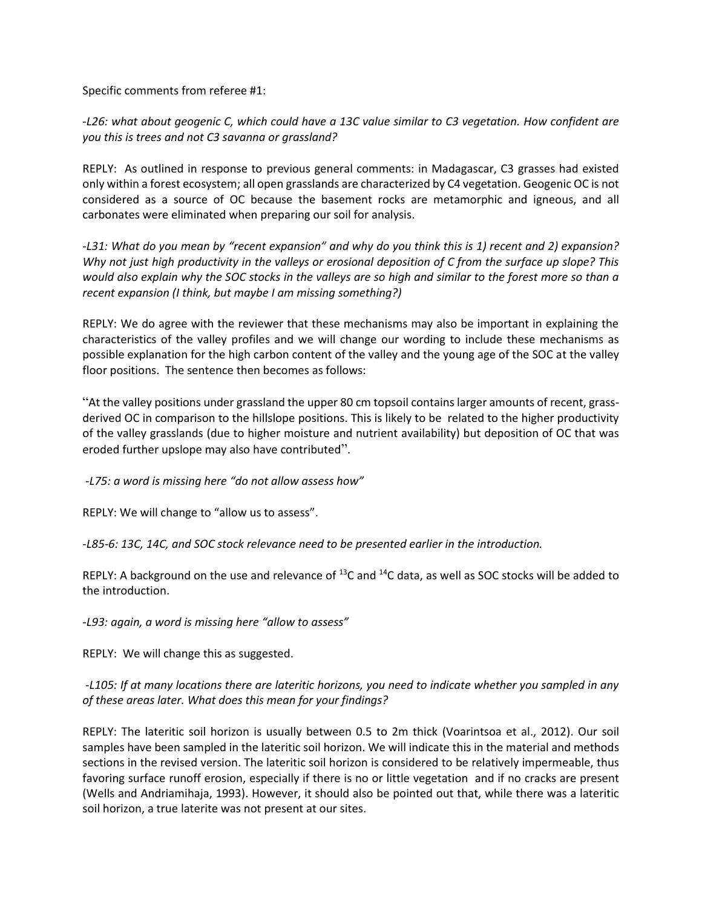Specific comments from referee #1:

*-L26: what about geogenic C, which could have a 13C value similar to C3 vegetation. How confident are you this is trees and not C3 savanna or grassland?*

REPLY: As outlined in response to previous general comments: in Madagascar, C3 grasses had existed only within a forest ecosystem; all open grasslands are characterized by C4 vegetation. Geogenic OC is not considered as a source of OC because the basement rocks are metamorphic and igneous, and all carbonates were eliminated when preparing our soil for analysis.

*-L31: What do you mean by "recent expansion" and why do you think this is 1) recent and 2) expansion? Why not just high productivity in the valleys or erosional deposition of C from the surface up slope? This would also explain why the SOC stocks in the valleys are so high and similar to the forest more so than a recent expansion (I think, but maybe I am missing something?)*

REPLY: We do agree with the reviewer that these mechanisms may also be important in explaining the characteristics of the valley profiles and we will change our wording to include these mechanisms as possible explanation for the high carbon content of the valley and the young age of the SOC at the valley floor positions. The sentence then becomes as follows:

"At the valley positions under grassland the upper 80 cm topsoil contains larger amounts of recent, grassderived OC in comparison to the hillslope positions. This is likely to be related to the higher productivity of the valley grasslands (due to higher moisture and nutrient availability) but deposition of OC that was eroded further upslope may also have contributed".

*-L75: a word is missing here "do not allow assess how"*

REPLY: We will change to "allow us to assess".

*-L85-6: 13C, 14C, and SOC stock relevance need to be presented earlier in the introduction.*

REPLY: A background on the use and relevance of  $^{13}$ C and  $^{14}$ C data, as well as SOC stocks will be added to the introduction.

*-L93: again, a word is missing here "allow to assess"*

REPLY: We will change this as suggested.

*-L105: If at many locations there are lateritic horizons, you need to indicate whether you sampled in any of these areas later. What does this mean for your findings?*

REPLY: The lateritic soil horizon is usually between 0.5 to 2m thick (Voarintsoa et al., 2012). Our soil samples have been sampled in the lateritic soil horizon. We will indicate this in the material and methods sections in the revised version. The lateritic soil horizon is considered to be relatively impermeable, thus favoring surface runoff erosion, especially if there is no or little vegetation and if no cracks are present (Wells and Andriamihaja, 1993). However, it should also be pointed out that, while there was a lateritic soil horizon, a true laterite was not present at our sites.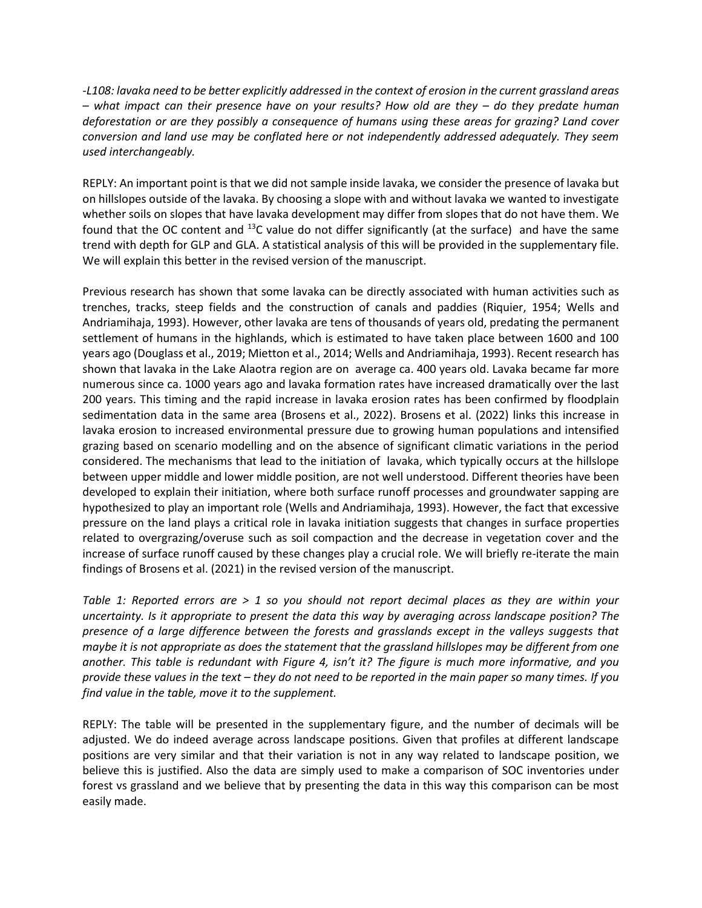*-L108: lavaka need to be better explicitly addressed in the context of erosion in the current grassland areas – what impact can their presence have on your results? How old are they – do they predate human deforestation or are they possibly a consequence of humans using these areas for grazing? Land cover conversion and land use may be conflated here or not independently addressed adequately. They seem used interchangeably.*

REPLY: An important point is that we did not sample inside lavaka, we consider the presence of lavaka but on hillslopes outside of the lavaka. By choosing a slope with and without lavaka we wanted to investigate whether soils on slopes that have lavaka development may differ from slopes that do not have them. We found that the OC content and  $^{13}$ C value do not differ significantly (at the surface) and have the same trend with depth for GLP and GLA. A statistical analysis of this will be provided in the supplementary file. We will explain this better in the revised version of the manuscript.

Previous research has shown that some lavaka can be directly associated with human activities such as trenches, tracks, steep fields and the construction of canals and paddies (Riquier, 1954; Wells and Andriamihaja, 1993). However, other lavaka are tens of thousands of years old, predating the permanent settlement of humans in the highlands, which is estimated to have taken place between 1600 and 100 years ago (Douglass et al., 2019; Mietton et al., 2014; Wells and Andriamihaja, 1993). Recent research has shown that lavaka in the Lake Alaotra region are on average ca. 400 years old. Lavaka became far more numerous since ca. 1000 years ago and lavaka formation rates have increased dramatically over the last 200 years. This timing and the rapid increase in lavaka erosion rates has been confirmed by floodplain sedimentation data in the same area (Brosens et al., 2022). Brosens et al. (2022) links this increase in lavaka erosion to increased environmental pressure due to growing human populations and intensified grazing based on scenario modelling and on the absence of significant climatic variations in the period considered. The mechanisms that lead to the initiation of lavaka, which typically occurs at the hillslope between upper middle and lower middle position, are not well understood. Different theories have been developed to explain their initiation, where both surface runoff processes and groundwater sapping are hypothesized to play an important role (Wells and Andriamihaja, 1993). However, the fact that excessive pressure on the land plays a critical role in lavaka initiation suggests that changes in surface properties related to overgrazing/overuse such as soil compaction and the decrease in vegetation cover and the increase of surface runoff caused by these changes play a crucial role. We will briefly re-iterate the main findings of Brosens et al. (2021) in the revised version of the manuscript.

*Table 1: Reported errors are > 1 so you should not report decimal places as they are within your uncertainty. Is it appropriate to present the data this way by averaging across landscape position? The presence of a large difference between the forests and grasslands except in the valleys suggests that maybe it is not appropriate as does the statement that the grassland hillslopes may be different from one another. This table is redundant with Figure 4, isn't it? The figure is much more informative, and you provide these values in the text – they do not need to be reported in the main paper so many times. If you find value in the table, move it to the supplement.*

REPLY: The table will be presented in the supplementary figure, and the number of decimals will be adjusted. We do indeed average across landscape positions. Given that profiles at different landscape positions are very similar and that their variation is not in any way related to landscape position, we believe this is justified. Also the data are simply used to make a comparison of SOC inventories under forest vs grassland and we believe that by presenting the data in this way this comparison can be most easily made.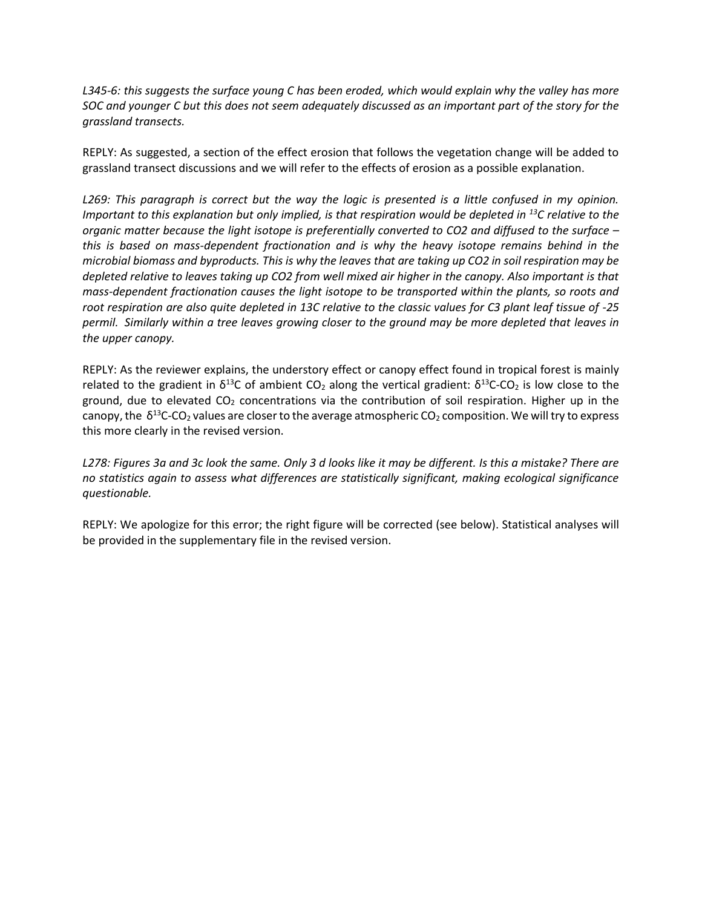*L345-6: this suggests the surface young C has been eroded, which would explain why the valley has more SOC and younger C but this does not seem adequately discussed as an important part of the story for the grassland transects.*

REPLY: As suggested, a section of the effect erosion that follows the vegetation change will be added to grassland transect discussions and we will refer to the effects of erosion as a possible explanation.

*L269: This paragraph is correct but the way the logic is presented is a little confused in my opinion. Important to this explanation but only implied, is that respiration would be depleted in <sup>13</sup>C relative to the organic matter because the light isotope is preferentially converted to CO2 and diffused to the surface – this is based on mass-dependent fractionation and is why the heavy isotope remains behind in the microbial biomass and byproducts. This is why the leaves that are taking up CO2 in soil respiration may be depleted relative to leaves taking up CO2 from well mixed air higher in the canopy. Also important is that mass-dependent fractionation causes the light isotope to be transported within the plants, so roots and root respiration are also quite depleted in 13C relative to the classic values for C3 plant leaf tissue of -25 permil. Similarly within a tree leaves growing closer to the ground may be more depleted that leaves in the upper canopy.*

REPLY: As the reviewer explains, the understory effect or canopy effect found in tropical forest is mainly related to the gradient in  $\delta^{13}C$  of ambient CO<sub>2</sub> along the vertical gradient:  $\delta^{13}C$ -CO<sub>2</sub> is low close to the ground, due to elevated  $CO<sub>2</sub>$  concentrations via the contribution of soil respiration. Higher up in the canopy, the  $\delta^{13}$ C-CO<sub>2</sub> values are closer to the average atmospheric CO<sub>2</sub> composition. We will try to express this more clearly in the revised version.

*L278: Figures 3a and 3c look the same. Only 3 d looks like it may be different. Is this a mistake? There are no statistics again to assess what differences are statistically significant, making ecological significance questionable.*

REPLY: We apologize for this error; the right figure will be corrected (see below). Statistical analyses will be provided in the supplementary file in the revised version.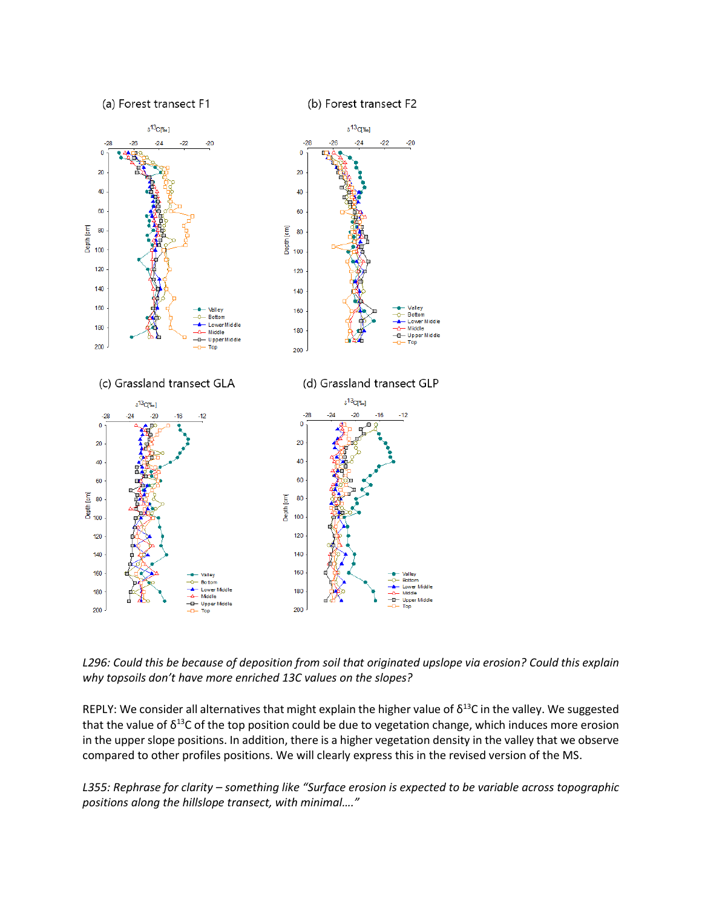

*L296: Could this be because of deposition from soil that originated upslope via erosion? Could this explain why topsoils don't have more enriched 13C values on the slopes?*

REPLY: We consider all alternatives that might explain the higher value of  $\delta^{13}$ C in the valley. We suggested that the value of  $\delta^{13}$ C of the top position could be due to vegetation change, which induces more erosion in the upper slope positions. In addition, there is a higher vegetation density in the valley that we observe compared to other profiles positions. We will clearly express this in the revised version of the MS.

*L355: Rephrase for clarity – something like "Surface erosion is expected to be variable across topographic positions along the hillslope transect, with minimal…."*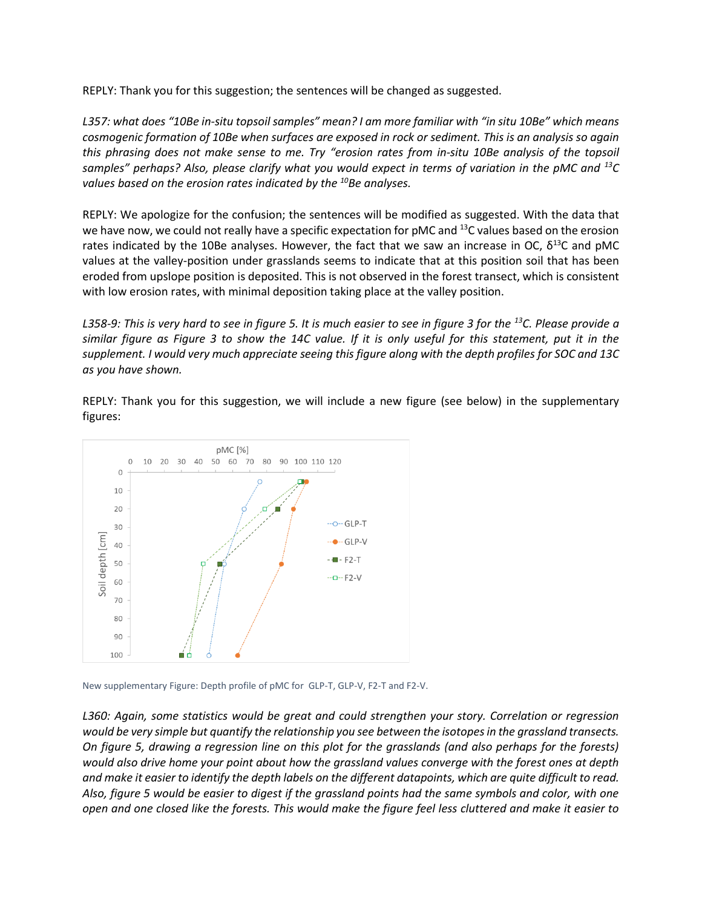REPLY: Thank you for this suggestion; the sentences will be changed as suggested.

*L357: what does "10Be in-situ topsoil samples" mean? I am more familiar with "in situ 10Be" which means cosmogenic formation of 10Be when surfaces are exposed in rock or sediment. This is an analysis so again this phrasing does not make sense to me. Try "erosion rates from in-situ 10Be analysis of the topsoil samples" perhaps? Also, please clarify what you would expect in terms of variation in the pMC and <sup>13</sup>C values based on the erosion rates indicated by the <sup>10</sup>Be analyses.*

REPLY: We apologize for the confusion; the sentences will be modified as suggested. With the data that we have now, we could not really have a specific expectation for pMC and <sup>13</sup>C values based on the erosion rates indicated by the 10Be analyses. However, the fact that we saw an increase in OC,  $\delta^{13}$ C and pMC values at the valley-position under grasslands seems to indicate that at this position soil that has been eroded from upslope position is deposited. This is not observed in the forest transect, which is consistent with low erosion rates, with minimal deposition taking place at the valley position.

*L358-9: This is very hard to see in figure 5. It is much easier to see in figure 3 for the <sup>13</sup>C. Please provide a similar figure as Figure 3 to show the 14C value. If it is only useful for this statement, put it in the supplement. I would very much appreciate seeing this figure along with the depth profiles for SOC and 13C as you have shown.*

REPLY: Thank you for this suggestion, we will include a new figure (see below) in the supplementary figures:



New supplementary Figure: Depth profile of pMC for GLP-T, GLP-V, F2-T and F2-V.

*L360: Again, some statistics would be great and could strengthen your story. Correlation or regression would be very simple but quantify the relationship you see between the isotopes in the grassland transects. On figure 5, drawing a regression line on this plot for the grasslands (and also perhaps for the forests) would also drive home your point about how the grassland values converge with the forest ones at depth and make it easier to identify the depth labels on the different datapoints, which are quite difficult to read. Also, figure 5 would be easier to digest if the grassland points had the same symbols and color, with one open and one closed like the forests. This would make the figure feel less cluttered and make it easier to*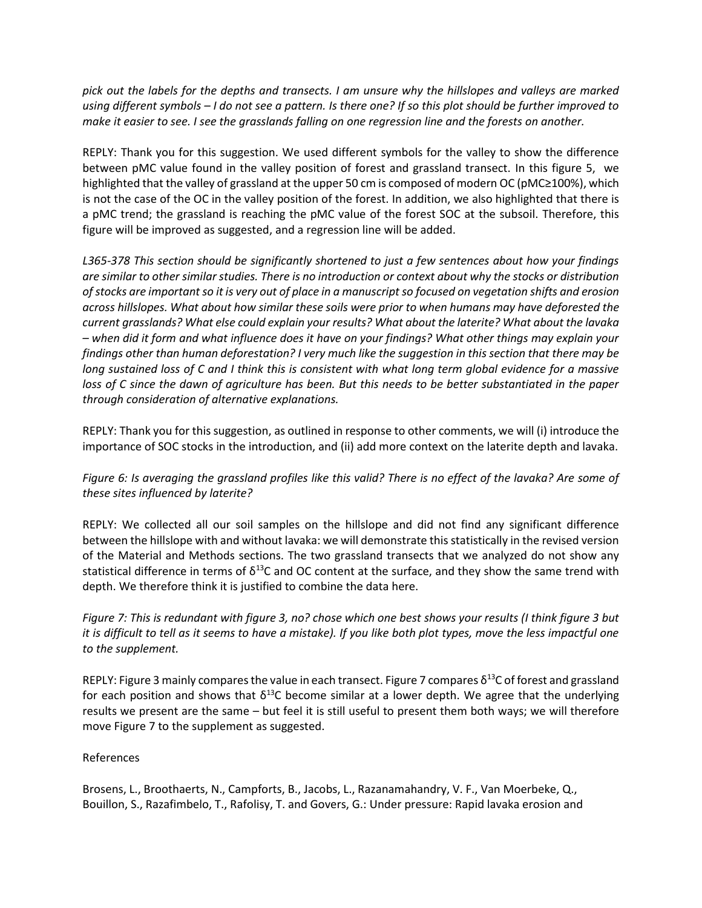*pick out the labels for the depths and transects. I am unsure why the hillslopes and valleys are marked using different symbols – I do not see a pattern. Is there one? If so this plot should be further improved to make it easier to see. I see the grasslands falling on one regression line and the forests on another.*

REPLY: Thank you for this suggestion. We used different symbols for the valley to show the difference between pMC value found in the valley position of forest and grassland transect. In this figure 5, we highlighted that the valley of grassland at the upper 50 cm is composed of modern OC (pMC≥100%), which is not the case of the OC in the valley position of the forest. In addition, we also highlighted that there is a pMC trend; the grassland is reaching the pMC value of the forest SOC at the subsoil. Therefore, this figure will be improved as suggested, and a regression line will be added.

*L365-378 This section should be significantly shortened to just a few sentences about how your findings are similar to other similar studies. There is no introduction or context about why the stocks or distribution of stocks are important so it is very out of place in a manuscript so focused on vegetation shifts and erosion across hillslopes. What about how similar these soils were prior to when humans may have deforested the current grasslands? What else could explain your results? What about the laterite? What about the lavaka – when did it form and what influence does it have on your findings? What other things may explain your findings other than human deforestation? I very much like the suggestion in this section that there may be long sustained loss of C and I think this is consistent with what long term global evidence for a massive loss of C since the dawn of agriculture has been. But this needs to be better substantiated in the paper through consideration of alternative explanations.*

REPLY: Thank you for this suggestion, as outlined in response to other comments, we will (i) introduce the importance of SOC stocks in the introduction, and (ii) add more context on the laterite depth and lavaka.

*Figure 6: Is averaging the grassland profiles like this valid? There is no effect of the lavaka? Are some of these sites influenced by laterite?*

REPLY: We collected all our soil samples on the hillslope and did not find any significant difference between the hillslope with and without lavaka: we will demonstrate this statistically in the revised version of the Material and Methods sections. The two grassland transects that we analyzed do not show any statistical difference in terms of  $\delta^{13}$ C and OC content at the surface, and they show the same trend with depth. We therefore think it is justified to combine the data here.

*Figure 7: This is redundant with figure 3, no? chose which one best shows your results (I think figure 3 but it is difficult to tell as it seems to have a mistake). If you like both plot types, move the less impactful one to the supplement.*

REPLY: Figure 3 mainly compares the value in each transect. Figure 7 compares  $\delta^{13}$ C of forest and grassland for each position and shows that  $\delta^{13}$ C become similar at a lower depth. We agree that the underlying results we present are the same – but feel it is still useful to present them both ways; we will therefore move Figure 7 to the supplement as suggested.

## References

Brosens, L., Broothaerts, N., Campforts, B., Jacobs, L., Razanamahandry, V. F., Van Moerbeke, Q., Bouillon, S., Razafimbelo, T., Rafolisy, T. and Govers, G.: Under pressure: Rapid lavaka erosion and